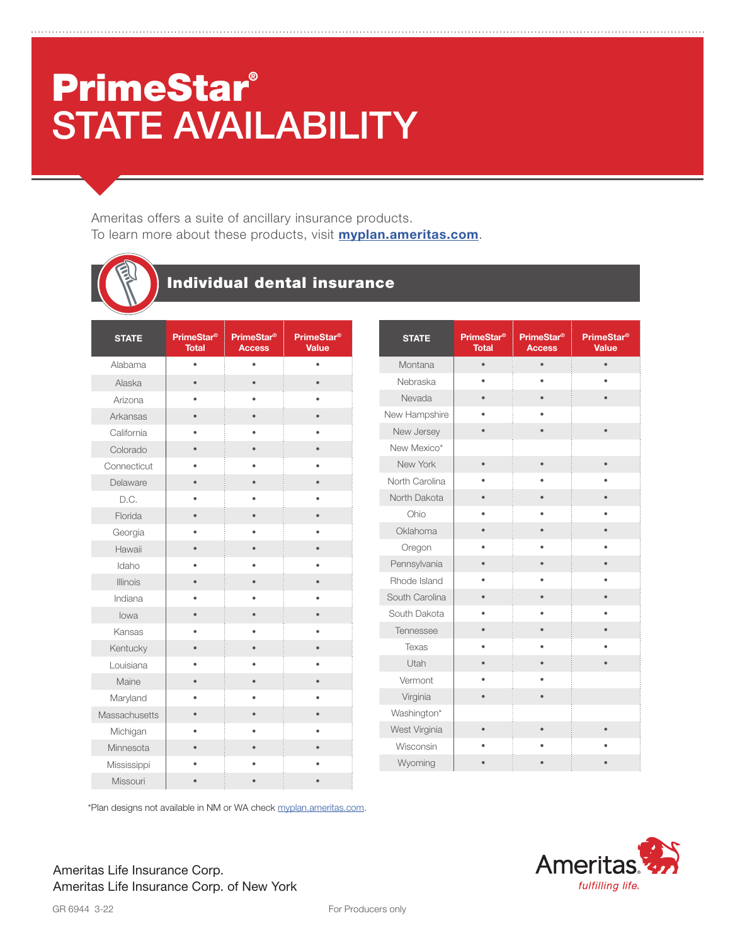## **PrimeStar®** STATE AVAILABILITY

Ameritas offers a suite of ancillary insurance products. To learn more about these products, visit **[myplan.ameritas.com](http://www.myplan.ameritas.com)**.



## Individual dental insurance

| <b>STATE</b>  | <b>PrimeStar®</b><br><b>Total</b> | <b>PrimeStar®</b><br><b>Access</b> | <b>PrimeStar®</b><br><b>Value</b> |
|---------------|-----------------------------------|------------------------------------|-----------------------------------|
| Alabama       | $\bullet$                         |                                    | $\bullet$                         |
| Alaska        |                                   |                                    |                                   |
| Arizona       | ٠                                 |                                    | ė                                 |
| Arkansas      |                                   |                                    |                                   |
| California    |                                   |                                    |                                   |
| Colorado      | $\bullet$                         |                                    | $\bullet$                         |
| Connecticut   |                                   |                                    |                                   |
| Delaware      |                                   |                                    |                                   |
| D.C.          | ė                                 |                                    |                                   |
| Florida       |                                   |                                    |                                   |
| Georgia       |                                   |                                    |                                   |
| Hawaii        | $\bullet$                         |                                    |                                   |
| Idaho         |                                   |                                    |                                   |
| Illinois      |                                   |                                    |                                   |
| Indiana       |                                   |                                    |                                   |
| lowa          |                                   |                                    |                                   |
| Kansas        |                                   |                                    |                                   |
| Kentucky      | $\bullet$                         |                                    |                                   |
| Louisiana     |                                   |                                    |                                   |
| Maine         |                                   |                                    |                                   |
| Maryland      |                                   |                                    |                                   |
| Massachusetts |                                   |                                    |                                   |
| Michigan      |                                   |                                    |                                   |
| Minnesota     |                                   |                                    |                                   |
| Mississippi   |                                   |                                    |                                   |
| Missouri      |                                   |                                    |                                   |

| <b>STATE</b>   | <b>PrimeStar®</b><br><b>Total</b> | <b>PrimeStar®</b><br><b>Access</b> | <b>PrimeStar®</b><br><b>Value</b> |
|----------------|-----------------------------------|------------------------------------|-----------------------------------|
| Montana        | $\bullet$                         | $\bullet$                          | $\bullet$                         |
| Nebraska       |                                   |                                    |                                   |
| Nevada         |                                   |                                    |                                   |
| New Hampshire  |                                   |                                    |                                   |
| New Jersey     |                                   |                                    |                                   |
| New Mexico*    |                                   |                                    |                                   |
| New York       | $\bullet$                         | $\bullet$                          |                                   |
| North Carolina |                                   |                                    |                                   |
| North Dakota   | $\bullet$                         | $\bullet$                          |                                   |
| Ohio           |                                   |                                    |                                   |
| Oklahoma       |                                   |                                    |                                   |
| Oregon         |                                   |                                    |                                   |
| Pennsylvania   |                                   |                                    |                                   |
| Rhode Island   |                                   |                                    |                                   |
| South Carolina |                                   |                                    |                                   |
| South Dakota   |                                   |                                    |                                   |
| Tennessee      | $\bullet$                         |                                    |                                   |
| Texas          |                                   |                                    |                                   |
| Utah           |                                   |                                    |                                   |
| Vermont        |                                   |                                    |                                   |
| Virginia       |                                   |                                    |                                   |
| Washington*    |                                   |                                    |                                   |
| West Virginia  | $\bullet$                         | $\bullet$                          | $\bullet$                         |
| Wisconsin      |                                   |                                    |                                   |
| Wyoming        |                                   |                                    |                                   |

\*Plan designs not available in NM or WA check [myplan.ameritas.com](https://myplan.ameritas.com/).



## Ameritas Life Insurance Corp. Ameritas Life Insurance Corp. of New York